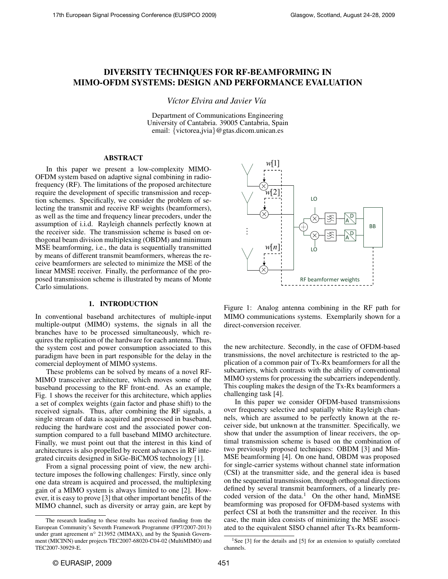# DIVERSITY TECHNIQUES FOR RF-BEAMFORMING IN MIMO-OFDM SYSTEMS: DESIGN AND PERFORMANCE EVALUATION

*V´ıctor Elvira and Javier V´ıa*

Department of Communications Engineering University of Cantabria. 39005 Cantabria, Spain email: {victorea,jvia}@gtas.dicom.unican.es

## ABSTRACT

In this paper we present a low-complexity MIMO-OFDM system based on adaptive signal combining in radiofrequency (RF). The limitations of the proposed architecture require the development of specific transmission and reception schemes. Specifically, we consider the problem of selecting the transmit and receive RF weights (beamformers), as well as the time and frequency linear precoders, under the assumption of i.i.d. Rayleigh channels perfectly known at the receiver side. The transmission scheme is based on orthogonal beam division multiplexing (OBDM) and minimum MSE beamforming, i.e., the data is sequentially transmitted by means of different transmit beamformers, whereas the receive beamformers are selected to minimize the MSE of the linear MMSE receiver. Finally, the performance of the proposed transmission scheme is illustrated by means of Monte Carlo simulations.

### 1. INTRODUCTION

In conventional baseband architectures of multiple-input multiple-output (MIMO) systems, the signals in all the branches have to be processed simultaneously, which requires the replication of the hardware for each antenna. Thus, the system cost and power consumption associated to this paradigm have been in part responsible for the delay in the comercial deployment of MIMO systems.

These problems can be solved by means of a novel RF-MIMO transceiver architecture, which moves some of the baseband processing to the RF front-end. As an example, Fig. 1 shows the receiver for this architecture, which applies a set of complex weights (gain factor and phase shift) to the received signals. Thus, after combining the RF signals, a single stream of data is acquired and processed in baseband, reducing the hardware cost and the associated power consumption compared to a full baseband MIMO architecture. Finally, we must point out that the interest in this kind of architectures is also propelled by recent advances in RF integrated circuits designed in SiGe-BiCMOS technology [1].

From a signal processing point of view, the new architecture imposes the following challenges: Firstly, since only one data stream is acquired and processed, the multiplexing gain of a MIMO system is always limited to one [2]. However, it is easy to prove [3] that other important benefits of the MIMO channel, such as diversity or array gain, are kept by



Figure 1: Analog antenna combining in the RF path for MIMO communications systems. Exemplarily shown for a direct-conversion receiver.

the new architecture. Secondly, in the case of OFDM-based transmissions, the novel architecture is restricted to the application of a common pair of Tx-Rx beamformers for all the subcarriers, which contrasts with the ability of conventional MIMO systems for processing the subcarriers independently. This coupling makes the design of the Tx-Rx beamformers a challenging task [4].

In this paper we consider OFDM-based transmissions over frequency selective and spatially white Rayleigh channels, which are assumed to be perfectly known at the receiver side, but unknown at the transmitter. Specifically, we show that under the assumption of linear receivers, the optimal transmission scheme is based on the combination of two previously proposed techniques: OBDM [3] and Min-MSE beamforming [4]. On one hand, OBDM was proposed for single-carrier systems without channel state information (CSI) at the transmitter side, and the general idea is based on the sequential transmission, through orthogonal directions defined by several transmit beamformers, of a linearly precoded version of the data.<sup>1</sup> On the other hand, MinMSE beamforming was proposed for OFDM-based systems with perfect CSI at both the transmitter and the receiver. In this case, the main idea consists of minimizing the MSE associated to the equivalent SISO channel after Tx-Rx beamform-

The research leading to these results has received funding from the European Community's Seventh Framework Programme (FP7/2007-2013) under grant agreement n◦ 213952 (MIMAX), and by the Spanish Government (MICINN) under projects TEC2007-68020-C04-02 (MultiMIMO) and TEC2007-30929-E.

<sup>&</sup>lt;sup>1</sup>See [3] for the details and [5] for an extension to spatially correlated channels.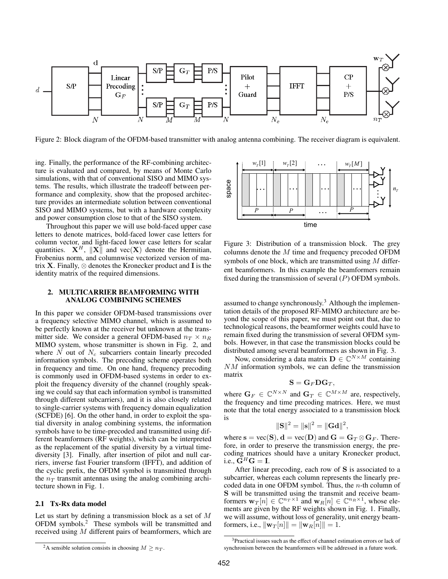

Figure 2: Block diagram of the OFDM-based transmitter with analog antenna combining. The receiver diagram is equivalent.

ing. Finally, the performance of the RF-combining architecture is evaluated and compared, by means of Monte Carlo simulations, with that of conventional SISO and MIMO systems. The results, which illustrate the tradeoff between performance and complexity, show that the proposed architecture provides an intermediate solution between conventional SISO and MIMO systems, but with a hardware complexity and power consumption close to that of the SISO system.

Throughout this paper we will use bold-faced upper case letters to denote matrices, bold-faced lower case letters for column vector, and light-faced lower case letters for scalar quantities.  $\mathbf{X}^H$ ,  $\|\mathbf{X}\|$  and vec $(\mathbf{X})$  denote the Hermitian, Frobenius norm, and columnwise vectorized version of matrix **X**. Finally,  $\otimes$  denotes the Kronecker product and **I** is the identity matrix of the required dimensions.

## 2. MULTICARRIER BEAMFORMING WITH ANALOG COMBINING SCHEMES

In this paper we consider OFDM-based transmissions over a frequency selective MIMO channel, which is assumed to be perfectly known at the receiver but unknown at the transmitter side. We consider a general OFDM-based  $n_T \times n_R$ MIMO system, whose transmitter is shown in Fig. 2, and where  $N$  out of  $N_c$  subcarriers contain linearly precoded information symbols. The precoding scheme operates both in frequency and time. On one hand, frequency precoding is commonly used in OFDM-based systems in order to exploit the frequency diversity of the channel (roughly speaking we could say that each information symbol is transmitted through different subcarriers), and it is also closely related to single-carrier systems with frequency domain equalization (SCFDE) [6]. On the other hand, in order to exploit the spatial diversity in analog combining systems, the information symbols have to be time-precoded and transmitted using different beamformers (RF weights), which can be interpreted as the replacement of the spatial diversity by a virtual timediversity [3]. Finally, after insertion of pilot and null carriers, inverse fast Fourier transform (IFFT), and addition of the cyclic prefix, the OFDM symbol is transmitted through the  $n_T$  transmit antennas using the analog combining architecture shown in Fig. 1.

# 2.1 Tx-Rx data model

Let us start by defining a transmission block as a set of M OFDM symbols.<sup>2</sup> These symbols will be transmitted and received using M different pairs of beamformers, which are



Figure 3: Distribution of a transmission block. The grey columns denote the M time and frequency precoded OFDM symbols of one block, which are transmitted using  $M$  different beamformers. In this example the beamformers remain fixed during the transmission of several  $(P)$  OFDM symbols.

assumed to change synchronously.<sup>3</sup> Although the implementation details of the proposed RF-MIMO architecture are beyond the scope of this paper, we must point out that, due to technological reasons, the beamformer weights could have to remain fixed during the transmission of several OFDM symbols. However, in that case the transmission blocks could be distributed among several beamformers as shown in Fig. 3.

Now, considering a data matrix  $\mathbf{D} \in \mathbb{C}^{N \times M}$  containing NM information symbols, we can define the transmission matrix

$$
\mathbf{S} = \mathbf{G}_F \mathbf{D} \mathbf{G}_T,
$$

where  $G_F \in \mathbb{C}^{N \times N}$  and  $G_T \in \mathbb{C}^{M \times M}$  are, respectively, the frequency and time precoding matrices. Here, we must note that the total energy associated to a transmission block is

$$
\|\mathbf{S}\|^2 = \|\mathbf{s}\|^2 = \|\mathbf{G}\mathbf{d}\|^2,
$$

where  $s = vec(S), d = vec(D)$  and  $G = G_T \otimes G_F$ . Therefore, in order to preserve the transmission energy, the precoding matrices should have a unitary Kronecker product, i.e.,  $G^H G = I$ .

After linear precoding, each row of S is associated to a subcarrier, whereas each column represents the linearly precoded data in one OFDM symbol. Thus, the  $n$ -th column of S will be transmitted using the transmit and receive beamformers  $w_T[n] \in \mathbb{C}^{n_T \times 1}$  and  $w_R[n] \in \mathbb{C}^{n_R \times 1}$ , whose elements are given by the RF weights shown in Fig. 1. Finally, we will assume, without loss of generality, unit energy beamformers, i.e.,  $\|\mathbf{w}_T[n]\| = \|\mathbf{w}_R[n]\| = 1.$ 

<sup>&</sup>lt;sup>2</sup>A sensible solution consists in choosing  $M \geq n_T$ .

 $3$ Practical issues such as the effect of channel estimation errors or lack of synchronism between the beamformers will be addressed in a future work.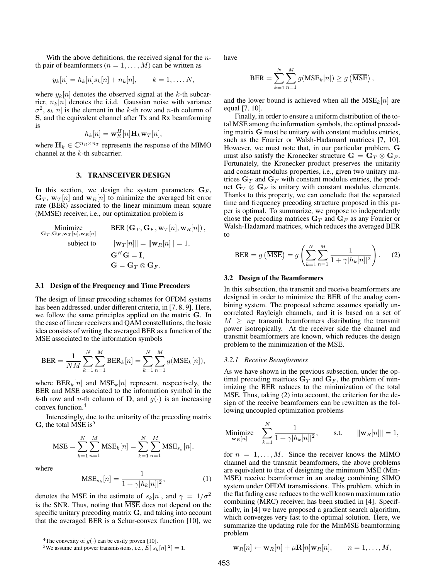With the above definitions, the received signal for the  $n$ th pair of beamformers  $(n = 1, \ldots, M)$  can be written as

$$
y_k[n] = h_k[n]s_k[n] + n_k[n], \qquad k = 1, \ldots, N,
$$

where  $y_k[n]$  denotes the observed signal at the k-th subcarrier,  $n_k[n]$  denotes the i.i.d. Gaussian noise with variance  $\sigma^2$ ,  $s_k[n]$  is the element in the k-th row and n-th column of S, and the equivalent channel after Tx and Rx beamforming is

$$
h_k[n] = \mathbf{w}_R^H[n]\mathbf{H}_k \mathbf{w}_T[n],
$$

where  $\mathbf{H}_k \in \mathbb{C}^{n_R \times n_T}$  represents the response of the MIMO channel at the k-th subcarrier.

#### 3. TRANSCEIVER DESIGN

In this section, we design the system parameters  $G_F$ ,  $\mathbf{G}_T$ ,  $\mathbf{w}_T[n]$  and  $\mathbf{w}_R[n]$  to minimize the averaged bit error rate (BER) associated to the linear minimum mean square (MMSE) receiver, i.e., our optimization problem is

Minimize  
\n
$$
\mathbf{G}_{T}, \mathbf{G}_{F}, \mathbf{w}_{T}[n], \mathbf{w}_{R}[n]
$$
\nsubject to  
\n
$$
\|\mathbf{w}_{T}[n]\| = \|\mathbf{w}_{R}[n]\| = 1,
$$
\n
$$
\mathbf{G}^{H}\mathbf{G} = \mathbf{I},
$$
\n
$$
\mathbf{G} = \mathbf{G}_{T} \otimes \mathbf{G}_{F}.
$$

### 3.1 Design of the Frequency and Time Precoders

The design of linear precoding schemes for OFDM systems has been addressed, under different criteria, in [7, 8, 9]. Here, we follow the same principles applied on the matrix G. In the case of linear receivers and QAM constellations, the basic idea consists of writing the averaged BER as a function of the MSE associated to the information symbols

$$
BER = \frac{1}{NM} \sum_{k=1}^{N} \sum_{n=1}^{M} BER_k[n] = \sum_{k=1}^{N} \sum_{n=1}^{M} g(MSE_k[n]),
$$

where  $BER_k[n]$  and  $MSE_k[n]$  represent, respectively, the BER and MSE associated to the information symbol in the k-th row and n-th column of D, and  $q(\cdot)$  is an increasing convex function.<sup>4</sup>

Interestingly, due to the unitarity of the precoding matrix  $G$ , the total MSE is<sup>5</sup>

$$
\overline{\text{MSE}} = \sum_{k=1}^{N} \sum_{n=1}^{M} \text{MSE}_k[n] = \sum_{k=1}^{N} \sum_{n=1}^{M} \text{MSE}_{s_k}[n],
$$

where

$$
\text{MSE}_{s_k}[n] = \frac{1}{1 + \gamma |h_k[n]|^2},\tag{1}
$$

denotes the MSE in the estimate of  $s_k[n]$ , and  $\gamma = 1/\sigma^2$ is the SNR. Thus, noting that MSE does not depend on the specific unitary precoding matrix G, and taking into account that the averaged BER is a Schur-convex function [10], we have

$$
BER = \sum_{k=1}^{N} \sum_{n=1}^{M} g(MSE_k[n]) \ge g(\overline{MSE}),
$$

and the lower bound is achieved when all the  $MSE_k[n]$  are equal [7, 10].

Finally, in order to ensure a uniform distribution of the total MSE among the information symbols, the optimal precoding matrix G must be unitary with constant modulus entries, such as the Fourier or Walsh-Hadamard matrices [7, 10]. However, we must note that, in our particular problem, G must also satisfy the Kronecker structure  $G = G_T \otimes G_F$ . Fortunately, the Kronecker product preserves the unitarity and constant modulus properties, i.e., given two unitary matrices  $G_T$  and  $G_F$  with constant modulus entries, the product  $G_T \otimes G_F$  is unitary with constant modulus elements. Thanks to this property, we can conclude that the separated time and frequency precoding structure proposed in this paper is optimal. To summarize, we propose to independently chose the precoding matrices  $G_T$  and  $G_F$  as any Fourier or Walsh-Hadamard matrices, which reduces the averaged BER to

BER = 
$$
g\left(\overline{\text{MSE}}\right) = g\left(\sum_{k=1}^{N} \sum_{n=1}^{M} \frac{1}{1 + \gamma |h_k[n]|^2}\right)
$$
. (2)

### 3.2 Design of the Beamformers

In this subsection, the transmit and receive beamformers are designed in order to minimize the BER of the analog combining system. The proposed scheme assumes spatially uncorrelated Rayleigh channels, and it is based on a set of  $M \geq n_T$  transmit beamformers distributing the transmit power isotropically. At the receiver side the channel and transmit beamformers are known, which reduces the design problem to the minimization of the MSE.

#### *3.2.1 Receive Beamformers*

As we have shown in the previous subsection, under the optimal precoding matrices  $G_T$  and  $G_F$ , the problem of minimizing the BER reduces to the minimization of the total MSE. Thus, taking (2) into account, the criterion for the design of the receive beamformers can be rewritten as the following uncoupled optimization problems

$$
\underset{\mathbf{w}_R[n]}{\text{Minimize}} \quad \sum_{k=1}^N \frac{1}{1 + \gamma |h_k[n]|^2}, \qquad \text{s.t.} \qquad \|\mathbf{w}_R[n]\| = 1,
$$

for  $n = 1, \ldots, M$ . Since the receiver knows the MIMO channel and the transmit beamformers, the above problems are equivalent to that of designing the minimum MSE (Min-MSE) receive beamformer in an analog combining SIMO system under OFDM transmissions. This problem, which in the flat fading case reduces to the well known maximum ratio combining (MRC) receiver, has been studied in [4]. Specifically, in [4] we have proposed a gradient search algorithm, which converges very fast to the optimal solution. Here, we summarize the updating rule for the MinMSE beamforming problem

$$
\mathbf{w}_R[n] \leftarrow \mathbf{w}_R[n] + \mu \mathbf{R}[n] \mathbf{w}_R[n], \qquad n = 1, \dots, M,
$$

<sup>&</sup>lt;sup>4</sup>The convexity of  $q(.)$  can be easily proven [10].

<sup>&</sup>lt;sup>5</sup>We assume unit power transmissions, i.e.,  $E[|s_k[n]|^2] = 1$ .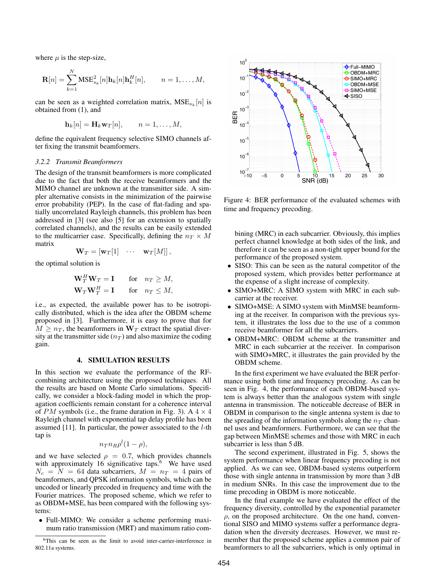where  $\mu$  is the step-size,

$$
\mathbf{R}[n] = \sum_{k=1}^{N} \text{MSE}_{s_k}^2[n] \mathbf{h}_k[n] \mathbf{h}_k^H[n], \qquad n = 1, \dots, M,
$$

can be seen as a weighted correlation matrix,  $MSE_{s_k}[n]$  is obtained from (1), and

$$
\mathbf{h}_k[n] = \mathbf{H}_k \mathbf{w}_T[n], \qquad n = 1, \dots, M,
$$

define the equivalent frequency selective SIMO channels after fixing the transmit beamformers.

#### *3.2.2 Transmit Beamformers*

The design of the transmit beamformers is more complicated due to the fact that both the receive beamformers and the MIMO channel are unknown at the transmitter side. A simpler alternative consists in the minimization of the pairwise error probability (PEP). In the case of flat-fading and spatially uncorrelated Rayleigh channels, this problem has been addressed in [3] (see also [5] for an extension to spatially correlated channels), and the results can be easily extended to the multicarrier case. Specifically, defining the  $n_T \times M$ matrix

$$
\mathbf{W}_T = [\mathbf{w}_T[1] \quad \cdots \quad \mathbf{w}_T[M]],
$$

the optimal solution is

$$
\begin{aligned} \mathbf{W}_T^H \mathbf{W}_T &= \mathbf{I} & \text{for} & n_T \ge M, \\ \mathbf{W}_T \mathbf{W}_T^H &= \mathbf{I} & \text{for} & n_T \le M, \end{aligned}
$$

i.e., as expected, the available power has to be isotropically distributed, which is the idea after the OBDM scheme proposed in [3]. Furthermore, it is easy to prove that for  $M \geq n_T$ , the beamformers in  $W_T$  extract the spatial diversity at the transmitter side  $(n_T)$  and also maximize the coding gain.

### 4. SIMULATION RESULTS

In this section we evaluate the performance of the RFcombining architecture using the proposed techniques. All the results are based on Monte Carlo simulations. Specifically, we consider a block-fading model in which the propagation coefficients remain constant for a coherence interval of PM symbols (i.e., the frame duration in Fig. 3). A  $4 \times 4$ Rayleigh channel with exponential tap delay profile has been assumed  $[11]$ . In particular, the power associated to the  $l$ -th tap is

$$
n_T n_R \rho^l (1 - \rho),
$$

and we have selected  $\rho = 0.7$ , which provides channels with approximately 16 significative taps. $6\degree$  We have used  $N_c = N = 64$  data subcarriers,  $M = n_T = 4$  pairs of beamformers, and QPSK information symbols, which can be uncoded or linearly precoded in frequency and time with the Fourier matrices. The proposed scheme, which we refer to as OBDM+MSE, has been compared with the following systems:

• Full-MIMO: We consider a scheme performing maximum ratio transmission (MRT) and maximum ratio com-



Figure 4: BER performance of the evaluated schemes with time and frequency precoding.

bining (MRC) in each subcarrier. Obviously, this implies perfect channel knowledge at both sides of the link, and therefore it can be seen as a non-tight upper bound for the performance of the proposed system.

- SISO: This can be seen as the natural competitor of the proposed system, which provides better performance at the expense of a slight increase of complexity.
- SIMO+MRC: A SIMO system with MRC in each subcarrier at the receiver.
- SIMO+MSE: A SIMO system with MinMSE beamforming at the receiver. In comparison with the previous system, it illustrates the loss due to the use of a common receive beamformer for all the subcarriers.
- OBDM+MRC: OBDM scheme at the transmitter and MRC in each subcarrier at the receiver. In comparison with SIMO+MRC, it illustrates the gain provided by the OBDM scheme.

In the first experiment we have evaluated the BER performance using both time and frequency precoding. As can be seen in Fig. 4, the performance of each OBDM-based system is always better than the analogous system with single antenna in transmission. The noticeable decrease of BER in OBDM in comparison to the single antenna system is due to the spreading of the information symbols along the  $n<sub>T</sub>$  channel uses and beamformers. Furthermore, we can see that the gap between MinMSE schemes and those with MRC in each subcarrier is less than 5 dB.

The second experiment, illustrated in Fig. 5, shows the system performance when linear frequency precoding is not applied. As we can see, OBDM-based systems outperform those with single antenna in transmission by more than 3 dB in medium SNRs. In this case the improvement due to the time precoding in OBDM is more noticeable.

In the final example we have evaluated the effect of the frequency diversity, controlled by the exponential parameter  $\rho$ , on the proposed architecture. On the one hand, conventional SISO and MIMO systems suffer a performance degradation when the diversity decreases. However, we must remember that the proposed scheme applies a common pair of beamformers to all the subcarriers, which is only optimal in

 $6$ This can be seen as the limit to avoid inter-carrier-interference in 802.11a systems.